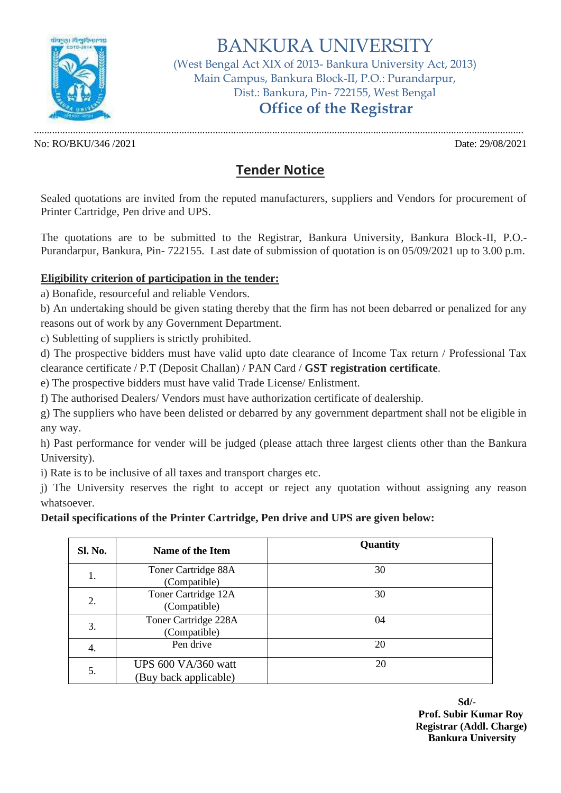

# BANKURA UNIVERSITY

(West Bengal Act XIX of 2013- Bankura University Act, 2013) Main Campus, Bankura Block-II, P.O.: Purandarpur, Dist.: Bankura, Pin- 722155, West Bengal  **Office of the Registrar**

No: RO/BKU/346 /2021 Date: 29/08/2021

.............................................................................................................................................................................................

## **Tender Notice**

Sealed quotations are invited from the reputed manufacturers, suppliers and Vendors for procurement of Printer Cartridge, Pen drive and UPS.

The quotations are to be submitted to the Registrar, Bankura University, Bankura Block-II, P.O.- Purandarpur, Bankura, Pin- 722155. Last date of submission of quotation is on 05/09/2021 up to 3.00 p.m.

#### **Eligibility criterion of participation in the tender:**

a) Bonafide, resourceful and reliable Vendors.

b) An undertaking should be given stating thereby that the firm has not been debarred or penalized for any reasons out of work by any Government Department.

c) Subletting of suppliers is strictly prohibited.

d) The prospective bidders must have valid upto date clearance of Income Tax return / Professional Tax clearance certificate / P.T (Deposit Challan) / PAN Card / **GST registration certificate**.

e) The prospective bidders must have valid Trade License/ Enlistment.

f) The authorised Dealers/ Vendors must have authorization certificate of dealership.

g) The suppliers who have been delisted or debarred by any government department shall not be eligible in any way.

h) Past performance for vender will be judged (please attach three largest clients other than the Bankura University).

i) Rate is to be inclusive of all taxes and transport charges etc.

j) The University reserves the right to accept or reject any quotation without assigning any reason whatsoever.

### **Detail specifications of the Printer Cartridge, Pen drive and UPS are given below:**

| Sl. No. | Name of the Item                             | Quantity |
|---------|----------------------------------------------|----------|
| 1.      | Toner Cartridge 88A<br>(Compatible)          | 30       |
| 2.      | Toner Cartridge 12A<br>(Compatible)          | 30       |
| 3.      | Toner Cartridge 228A<br>(Compatible)         | 04       |
| 4.      | Pen drive                                    | 20       |
| 5.      | UPS 600 VA/360 watt<br>(Buy back applicable) | 20       |

**Sd/- Prof. Subir Kumar Roy Registrar (Addl. Charge) Bankura University**